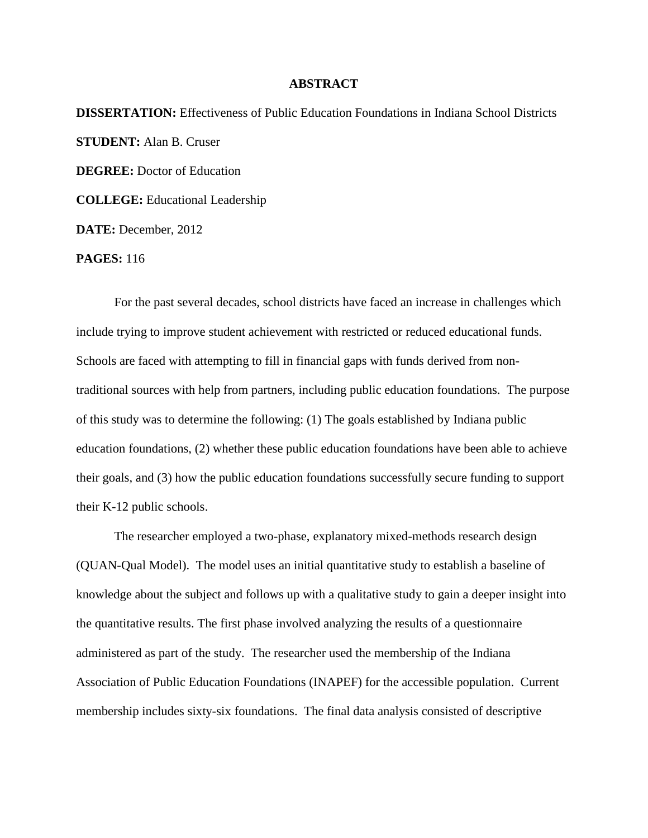## **ABSTRACT**

**DISSERTATION:** Effectiveness of Public Education Foundations in Indiana School Districts **STUDENT:** Alan B. Cruser **DEGREE:** Doctor of Education **COLLEGE:** Educational Leadership **DATE:** December, 2012

**PAGES:** 116

For the past several decades, school districts have faced an increase in challenges which include trying to improve student achievement with restricted or reduced educational funds. Schools are faced with attempting to fill in financial gaps with funds derived from nontraditional sources with help from partners, including public education foundations. The purpose of this study was to determine the following: (1) The goals established by Indiana public education foundations, (2) whether these public education foundations have been able to achieve their goals, and (3) how the public education foundations successfully secure funding to support their K-12 public schools.

The researcher employed a two-phase, explanatory mixed-methods research design (QUAN-Qual Model). The model uses an initial quantitative study to establish a baseline of knowledge about the subject and follows up with a qualitative study to gain a deeper insight into the quantitative results. The first phase involved analyzing the results of a questionnaire administered as part of the study. The researcher used the membership of the Indiana Association of Public Education Foundations (INAPEF) for the accessible population. Current membership includes sixty-six foundations. The final data analysis consisted of descriptive